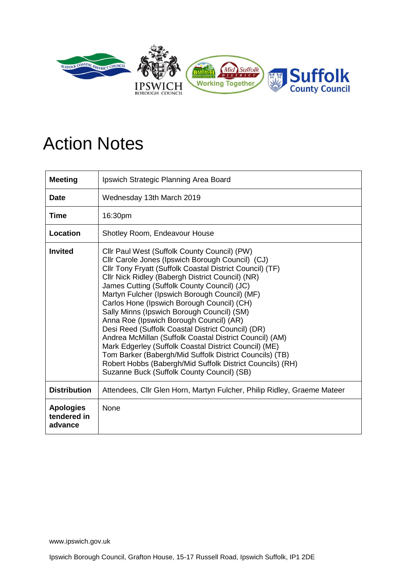

## Action Notes

| <b>Meeting</b>                             | Ipswich Strategic Planning Area Board                                                                                                                                                                                                                                                                                                                                                                                                                                                                                                                                                                                                                                                                                                                                                                  |
|--------------------------------------------|--------------------------------------------------------------------------------------------------------------------------------------------------------------------------------------------------------------------------------------------------------------------------------------------------------------------------------------------------------------------------------------------------------------------------------------------------------------------------------------------------------------------------------------------------------------------------------------------------------------------------------------------------------------------------------------------------------------------------------------------------------------------------------------------------------|
| <b>Date</b>                                | Wednesday 13th March 2019                                                                                                                                                                                                                                                                                                                                                                                                                                                                                                                                                                                                                                                                                                                                                                              |
| Time                                       | 16:30pm                                                                                                                                                                                                                                                                                                                                                                                                                                                                                                                                                                                                                                                                                                                                                                                                |
| Location                                   | Shotley Room, Endeavour House                                                                                                                                                                                                                                                                                                                                                                                                                                                                                                                                                                                                                                                                                                                                                                          |
| <b>Invited</b>                             | Cllr Paul West (Suffolk County Council) (PW)<br>Cllr Carole Jones (Ipswich Borough Council) (CJ)<br>Cllr Tony Fryatt (Suffolk Coastal District Council) (TF)<br>Cllr Nick Ridley (Babergh District Council) (NR)<br>James Cutting (Suffolk County Council) (JC)<br>Martyn Fulcher (Ipswich Borough Council) (MF)<br>Carlos Hone (Ipswich Borough Council) (CH)<br>Sally Minns (Ipswich Borough Council) (SM)<br>Anna Roe (Ipswich Borough Council) (AR)<br>Desi Reed (Suffolk Coastal District Council) (DR)<br>Andrea McMillan (Suffolk Coastal District Council) (AM)<br>Mark Edgerley (Suffolk Coastal District Council) (ME)<br>Tom Barker (Babergh/Mid Suffolk District Councils) (TB)<br>Robert Hobbs (Babergh/Mid Suffolk District Councils) (RH)<br>Suzanne Buck (Suffolk County Council) (SB) |
| <b>Distribution</b>                        | Attendees, Cllr Glen Horn, Martyn Fulcher, Philip Ridley, Graeme Mateer                                                                                                                                                                                                                                                                                                                                                                                                                                                                                                                                                                                                                                                                                                                                |
| <b>Apologies</b><br>tendered in<br>advance | None                                                                                                                                                                                                                                                                                                                                                                                                                                                                                                                                                                                                                                                                                                                                                                                                   |

Ipswich Borough Council, Grafton House, 15-17 Russell Road, Ipswich Suffolk, IP1 2DE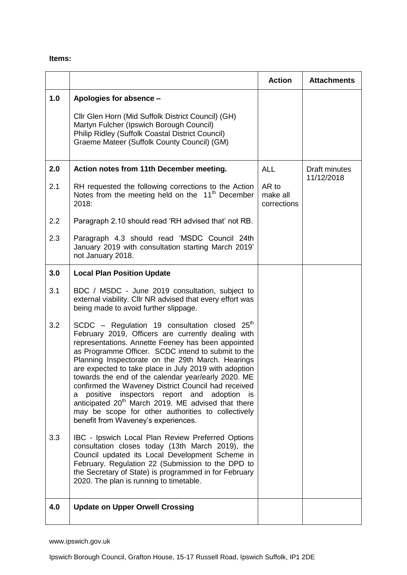## **Items:**

|     |                                                                                                                                                                                                                                                                                                                                                                                                                                                                                                                                                                                                                                                                        | <b>Action</b>                    | <b>Attachments</b>          |
|-----|------------------------------------------------------------------------------------------------------------------------------------------------------------------------------------------------------------------------------------------------------------------------------------------------------------------------------------------------------------------------------------------------------------------------------------------------------------------------------------------------------------------------------------------------------------------------------------------------------------------------------------------------------------------------|----------------------------------|-----------------------------|
| 1.0 | Apologies for absence -<br>Cllr Glen Horn (Mid Suffolk District Council) (GH)<br>Martyn Fulcher (Ipswich Borough Council)<br><b>Philip Ridley (Suffolk Coastal District Council)</b><br>Graeme Mateer (Suffolk County Council) (GM)                                                                                                                                                                                                                                                                                                                                                                                                                                    |                                  |                             |
| 2.0 | Action notes from 11th December meeting.                                                                                                                                                                                                                                                                                                                                                                                                                                                                                                                                                                                                                               | <b>ALL</b>                       | Draft minutes<br>11/12/2018 |
| 2.1 | RH requested the following corrections to the Action<br>Notes from the meeting held on the 11 <sup>th</sup> December<br>2018:                                                                                                                                                                                                                                                                                                                                                                                                                                                                                                                                          | AR to<br>make all<br>corrections |                             |
| 2.2 | Paragraph 2.10 should read 'RH advised that' not RB.                                                                                                                                                                                                                                                                                                                                                                                                                                                                                                                                                                                                                   |                                  |                             |
| 2.3 | Paragraph 4.3 should read 'MSDC Council 24th<br>January 2019 with consultation starting March 2019'<br>not January 2018.                                                                                                                                                                                                                                                                                                                                                                                                                                                                                                                                               |                                  |                             |
| 3.0 | <b>Local Plan Position Update</b>                                                                                                                                                                                                                                                                                                                                                                                                                                                                                                                                                                                                                                      |                                  |                             |
| 3.1 | BDC / MSDC - June 2019 consultation, subject to<br>external viability. Cllr NR advised that every effort was<br>being made to avoid further slippage.                                                                                                                                                                                                                                                                                                                                                                                                                                                                                                                  |                                  |                             |
| 3.2 | SCDC - Regulation 19 consultation closed $25th$<br>February 2019, Officers are currently dealing with<br>representations. Annette Feeney has been appointed<br>as Programme Officer. SCDC intend to submit to the<br>Planning Inspectorate on the 29th March. Hearings<br>are expected to take place in July 2019 with adoption<br>towards the end of the calendar year/early 2020. ME<br>confirmed the Waveney District Council had received<br>positive inspectors report and<br>adoption<br>is.<br>a<br>anticipated 20 <sup>th</sup> March 2019. ME advised that there<br>may be scope for other authorities to collectively<br>benefit from Waveney's experiences. |                                  |                             |
| 3.3 | IBC - Ipswich Local Plan Review Preferred Options<br>consultation closes today (13th March 2019), the<br>Council updated its Local Development Scheme in<br>February. Regulation 22 (Submission to the DPD to<br>the Secretary of State) is programmed in for February<br>2020. The plan is running to timetable.                                                                                                                                                                                                                                                                                                                                                      |                                  |                             |
| 4.0 | <b>Update on Upper Orwell Crossing</b>                                                                                                                                                                                                                                                                                                                                                                                                                                                                                                                                                                                                                                 |                                  |                             |

www.ipswich.gov.uk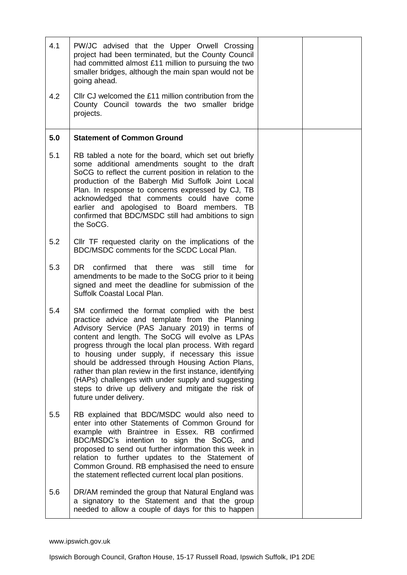| 4.1 | PW/JC advised that the Upper Orwell Crossing<br>project had been terminated, but the County Council<br>had committed almost £11 million to pursuing the two<br>smaller bridges, although the main span would not be<br>going ahead.                                                                                                                                                                                                                                                                                                                                           |  |
|-----|-------------------------------------------------------------------------------------------------------------------------------------------------------------------------------------------------------------------------------------------------------------------------------------------------------------------------------------------------------------------------------------------------------------------------------------------------------------------------------------------------------------------------------------------------------------------------------|--|
| 4.2 | CIIr CJ welcomed the £11 million contribution from the<br>County Council towards the two smaller bridge<br>projects.                                                                                                                                                                                                                                                                                                                                                                                                                                                          |  |
| 5.0 | <b>Statement of Common Ground</b>                                                                                                                                                                                                                                                                                                                                                                                                                                                                                                                                             |  |
| 5.1 | RB tabled a note for the board, which set out briefly<br>some additional amendments sought to the draft<br>SoCG to reflect the current position in relation to the<br>production of the Babergh Mid Suffolk Joint Local<br>Plan. In response to concerns expressed by CJ, TB<br>acknowledged that comments could have come<br>earlier and apologised to Board members. TB<br>confirmed that BDC/MSDC still had ambitions to sign<br>the SoCG.                                                                                                                                 |  |
| 5.2 | CIIr TF requested clarity on the implications of the<br>BDC/MSDC comments for the SCDC Local Plan.                                                                                                                                                                                                                                                                                                                                                                                                                                                                            |  |
| 5.3 | DR confirmed that there was still<br>time<br>for<br>amendments to be made to the SoCG prior to it being<br>signed and meet the deadline for submission of the<br>Suffolk Coastal Local Plan.                                                                                                                                                                                                                                                                                                                                                                                  |  |
| 5.4 | SM confirmed the format complied with the best<br>practice advice and template from the Planning<br>Advisory Service (PAS January 2019) in terms of<br>content and length. The SoCG will evolve as LPAs<br>progress through the local plan process. With regard<br>to housing under supply, if necessary this issue<br>should be addressed through Housing Action Plans,<br>rather than plan review in the first instance, identifying<br>(HAPs) challenges with under supply and suggesting<br>steps to drive up delivery and mitigate the risk of<br>future under delivery. |  |
| 5.5 | RB explained that BDC/MSDC would also need to<br>enter into other Statements of Common Ground for<br>example with Braintree in Essex. RB confirmed<br>BDC/MSDC's intention to sign the SoCG, and<br>proposed to send out further information this week in<br>relation to further updates to the Statement of<br>Common Ground. RB emphasised the need to ensure<br>the statement reflected current local plan positions.                                                                                                                                                      |  |
| 5.6 | DR/AM reminded the group that Natural England was<br>a signatory to the Statement and that the group<br>needed to allow a couple of days for this to happen                                                                                                                                                                                                                                                                                                                                                                                                                   |  |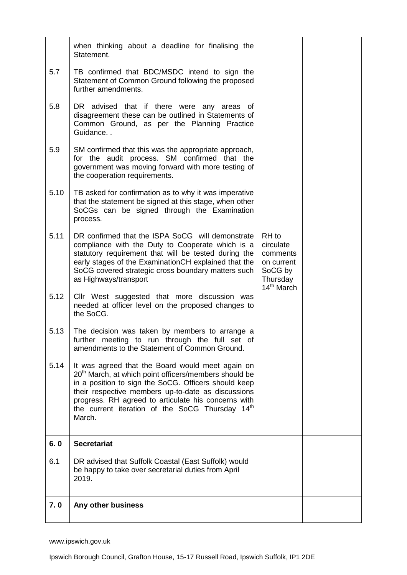|      | when thinking about a deadline for finalising the<br>Statement.                                                                                                                                                                                                                                                                                                     |                                                                                               |  |
|------|---------------------------------------------------------------------------------------------------------------------------------------------------------------------------------------------------------------------------------------------------------------------------------------------------------------------------------------------------------------------|-----------------------------------------------------------------------------------------------|--|
| 5.7  | TB confirmed that BDC/MSDC intend to sign the<br>Statement of Common Ground following the proposed<br>further amendments.                                                                                                                                                                                                                                           |                                                                                               |  |
| 5.8  | DR advised that if there were any areas of<br>disagreement these can be outlined in Statements of<br>Common Ground, as per the Planning Practice<br>Guidance                                                                                                                                                                                                        |                                                                                               |  |
| 5.9  | SM confirmed that this was the appropriate approach,<br>for the audit process. SM confirmed that the<br>government was moving forward with more testing of<br>the cooperation requirements.                                                                                                                                                                         |                                                                                               |  |
| 5.10 | TB asked for confirmation as to why it was imperative<br>that the statement be signed at this stage, when other<br>SoCGs can be signed through the Examination<br>process.                                                                                                                                                                                          |                                                                                               |  |
| 5.11 | DR confirmed that the ISPA SoCG will demonstrate<br>compliance with the Duty to Cooperate which is a<br>statutory requirement that will be tested during the<br>early stages of the Examination CH explained that the<br>SoCG covered strategic cross boundary matters such<br>as Highways/transport                                                                | RH to<br>circulate<br>comments<br>on current<br>SoCG by<br>Thursday<br>14 <sup>th</sup> March |  |
| 5.12 | Cllr West suggested that more discussion was<br>needed at officer level on the proposed changes to<br>the SoCG.                                                                                                                                                                                                                                                     |                                                                                               |  |
| 5.13 | The decision was taken by members to arrange a<br>further meeting to run through the full set of<br>amendments to the Statement of Common Ground.                                                                                                                                                                                                                   |                                                                                               |  |
| 5.14 | It was agreed that the Board would meet again on<br>20 <sup>th</sup> March, at which point officers/members should be<br>in a position to sign the SoCG. Officers should keep<br>their respective members up-to-date as discussions<br>progress. RH agreed to articulate his concerns with<br>the current iteration of the SoCG Thursday 14 <sup>th</sup><br>March. |                                                                                               |  |
| 6.0  | <b>Secretariat</b>                                                                                                                                                                                                                                                                                                                                                  |                                                                                               |  |
| 6.1  | DR advised that Suffolk Coastal (East Suffolk) would<br>be happy to take over secretarial duties from April<br>2019.                                                                                                                                                                                                                                                |                                                                                               |  |
| 7.0  | Any other business                                                                                                                                                                                                                                                                                                                                                  |                                                                                               |  |